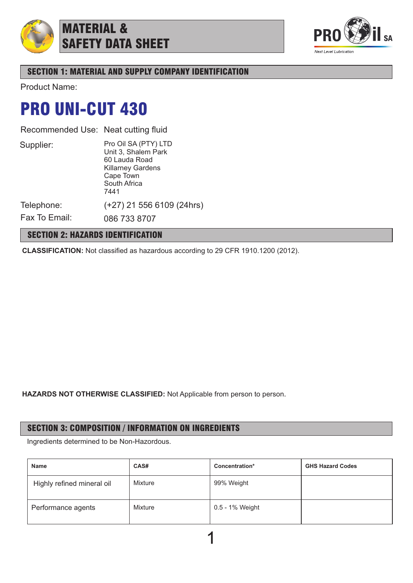

## MATERIAL & SAFETY DATA SHEET



## SECTION 1: MATERIAL AND SUPPLY COMPANY IDENTIFICATION

Product Name:

## PRO UNI-CUT 430

Recommended Use: Neat cutting fluid

Supplier:

Pro Oil SA (PTY) LTD Unit 3, Shalem Park 60 Lauda Road Killarney Gardens Cape Town South Africa 7441

Telephone:

Fax To Email:

086 733 8707

## SECTION 2: HAZARDS IDENTIFICATION

**CLASSIFICATION:** Not classified as hazardous according to 29 CFR 1910.1200 (2012).

(+27) 21 556 6109 (24hrs)

**HAZARDS NOT OTHERWISE CLASSIFIED:** Not Applicable from person to person.

## SECTION 3: COMPOSITION / INFORMATION ON INGREDIENTS

Ingredients determined to be Non-Hazordous.

| <b>Name</b>                | CAS#    | Concentration*  | <b>GHS Hazard Codes</b> |
|----------------------------|---------|-----------------|-------------------------|
| Highly refined mineral oil | Mixture | 99% Weight      |                         |
| Performance agents         | Mixture | 0.5 - 1% Weight |                         |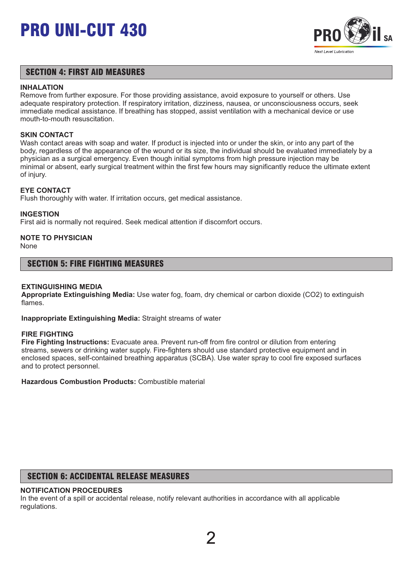

### SECTION 4: FIRST AID MEASURES

#### **INHALATION**

Remove from further exposure. For those providing assistance, avoid exposure to yourself or others. Use adequate respiratory protection. If respiratory irritation, dizziness, nausea, or unconsciousness occurs, seek immediate medical assistance. If breathing has stopped, assist ventilation with a mechanical device or use mouth-to-mouth resuscitation.

#### **SKIN CONTACT**

Wash contact areas with soap and water. If product is injected into or under the skin, or into any part of the body, regardless of the appearance of the wound or its size, the individual should be evaluated immediately by a physician as a surgical emergency. Even though initial symptoms from high pressure injection may be minimal or absent, early surgical treatment within the first few hours may significantly reduce the ultimate extent of injury.

#### **EYE CONTACT**

Flush thoroughly with water. If irritation occurs, get medical assistance.

#### **INGESTION**

First aid is normally not required. Seek medical attention if discomfort occurs.

## **NOTE TO PHYSICIAN**

None

#### SECTION 5: FIRE FIGHTING MEASURES

#### **EXTINGUISHING MEDIA**

**Appropriate Extinguishing Media:** Use water fog, foam, dry chemical or carbon dioxide (CO2) to extinguish flames.

**Inappropriate Extinguishing Media:** Straight streams of water

#### **FIRE FIGHTING**

**Fire Fighting Instructions:** Evacuate area. Prevent run-off from fire control or dilution from entering streams, sewers or drinking water supply. Fire-fighters should use standard protective equipment and in enclosed spaces, self-contained breathing apparatus (SCBA). Use water spray to cool fire exposed surfaces and to protect personnel.

**Hazardous Combustion Products:** Combustible material

## SECTION 6: ACCIDENTAL RELEASE MEASURES

#### **NOTIFICATION PROCEDURES**

In the event of a spill or accidental release, notify relevant authorities in accordance with all applicable regulations.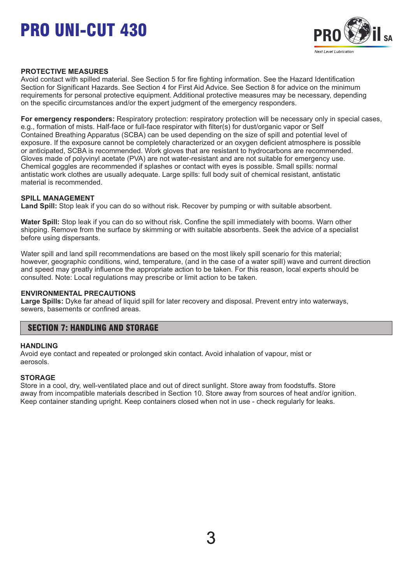

#### **PROTECTIVE MEASURES**

Avoid contact with spilled material. See Section 5 for fire fighting information. See the Hazard Identification Section for Significant Hazards. See Section 4 for First Aid Advice. See Section 8 for advice on the minimum requirements for personal protective equipment. Additional protective measures may be necessary, depending on the specific circumstances and/or the expert judgment of the emergency responders.

**For emergency responders:** Respiratory protection: respiratory protection will be necessary only in special cases, e.g., formation of mists. Half-face or full-face respirator with filter(s) for dust/organic vapor or Self Contained Breathing Apparatus (SCBA) can be used depending on the size of spill and potential level of exposure. If the exposure cannot be completely characterized or an oxygen deficient atmosphere is possible or anticipated, SCBA is recommended. Work gloves that are resistant to hydrocarbons are recommended. Gloves made of polyvinyl acetate (PVA) are not water-resistant and are not suitable for emergency use. Chemical goggles are recommended if splashes or contact with eyes is possible. Small spills: normal antistatic work clothes are usually adequate. Large spills: full body suit of chemical resistant, antistatic material is recommended.

#### **SPILL MANAGEMENT**

**Land Spill:** Stop leak if you can do so without risk. Recover by pumping or with suitable absorbent.

**Water Spill:** Stop leak if you can do so without risk. Confine the spill immediately with booms. Warn other shipping. Remove from the surface by skimming or with suitable absorbents. Seek the advice of a specialist before using dispersants.

Water spill and land spill recommendations are based on the most likely spill scenario for this material; however, geographic conditions, wind, temperature, (and in the case of a water spill) wave and current direction and speed may greatly influence the appropriate action to be taken. For this reason, local experts should be consulted. Note: Local regulations may prescribe or limit action to be taken.

#### **ENVIRONMENTAL PRECAUTIONS**

**Large Spills:** Dyke far ahead of liquid spill for later recovery and disposal. Prevent entry into waterways, sewers, basements or confined areas.

### SECTION 7: HANDLING AND STORAGE

#### **HANDLING**

Avoid eye contact and repeated or prolonged skin contact. Avoid inhalation of vapour, mist or aerosols.

#### **STORAGE**

Store in a cool, dry, well-ventilated place and out of direct sunlight. Store away from foodstuffs. Store away from incompatible materials described in Section 10. Store away from sources of heat and/or ignition. Keep container standing upright. Keep containers closed when not in use - check regularly for leaks.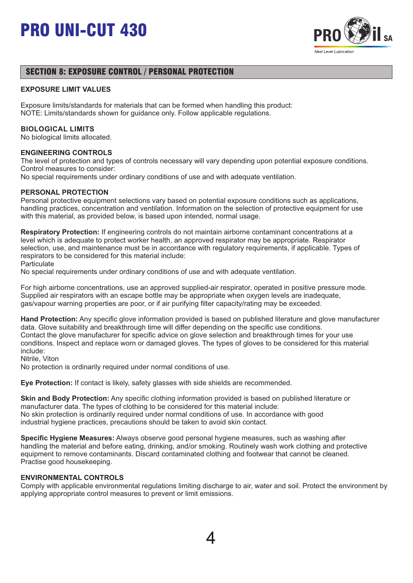

## SECTION 8: EXPOSURE CONTROL / PERSONAL PROTECTION

#### **EXPOSURE LIMIT VALUES**

Exposure limits/standards for materials that can be formed when handling this product: NOTE: Limits/standards shown for guidance only. Follow applicable regulations.

#### **BIOLOGICAL LIMITS**

No biological limits allocated.

#### **ENGINEERING CONTROLS**

The level of protection and types of controls necessary will vary depending upon potential exposure conditions. Control measures to consider:

No special requirements under ordinary conditions of use and with adequate ventilation.

#### **PERSONAL PROTECTION**

Personal protective equipment selections vary based on potential exposure conditions such as applications, handling practices, concentration and ventilation. Information on the selection of protective equipment for use with this material, as provided below, is based upon intended, normal usage.

**Respiratory Protection:** If engineering controls do not maintain airborne contaminant concentrations at a level which is adequate to protect worker health, an approved respirator may be appropriate. Respirator selection, use, and maintenance must be in accordance with regulatory requirements, if applicable. Types of respirators to be considered for this material include:

**Particulate** 

No special requirements under ordinary conditions of use and with adequate ventilation.

For high airborne concentrations, use an approved supplied-air respirator, operated in positive pressure mode. Supplied air respirators with an escape bottle may be appropriate when oxygen levels are inadequate, gas/vapour warning properties are poor, or if air purifying filter capacity/rating may be exceeded.

**Hand Protection:** Any specific glove information provided is based on published literature and glove manufacturer data. Glove suitability and breakthrough time will differ depending on the specific use conditions. Contact the glove manufacturer for specific advice on glove selection and breakthrough times for your use conditions. Inspect and replace worn or damaged gloves. The types of gloves to be considered for this material include:

Nitrile, Viton

No protection is ordinarily required under normal conditions of use.

**Eye Protection:** If contact is likely, safety glasses with side shields are recommended.

**Skin and Body Protection:** Any specific clothing information provided is based on published literature or manufacturer data. The types of clothing to be considered for this material include: No skin protection is ordinarily required under normal conditions of use. In accordance with good industrial hygiene practices, precautions should be taken to avoid skin contact.

**Specific Hygiene Measures:** Always observe good personal hygiene measures, such as washing after handling the material and before eating, drinking, and/or smoking. Routinely wash work clothing and protective equipment to remove contaminants. Discard contaminated clothing and footwear that cannot be cleaned. Practise good housekeeping.

#### **ENVIRONMENTAL CONTROLS**

Comply with applicable environmental regulations limiting discharge to air, water and soil. Protect the environment by applying appropriate control measures to prevent or limit emissions.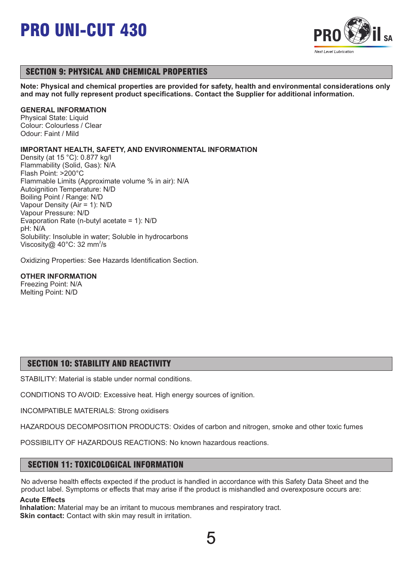

## SECTION 9: PHYSICAL AND CHEMICAL PROPERTIES

**Note: Physical and chemical properties are provided for safety, health and environmental considerations only and may not fully represent product specifications. Contact the Supplier for additional information.**

#### **GENERAL INFORMATION**

Physical State: Liquid Colour: Colourless / Clear Odour: Faint / Mild

#### **IMPORTANT HEALTH, SAFETY, AND ENVIRONMENTAL INFORMATION**

Density (at 15 °C): 0.877 kg/l Flammability (Solid, Gas): N/A Flash Point: >200°C Flammable Limits (Approximate volume % in air): N/A Autoignition Temperature: N/D Boiling Point / Range: N/D Vapour Density (Air = 1): N/D Vapour Pressure: N/D Evaporation Rate (n-butyl acetate = 1): N/D pH: N/A Solubility: Insoluble in water; Soluble in hydrocarbons Viscosity@ 40 $^{\circ}$ C: 32 mm<sup>2</sup>/s

Oxidizing Properties: See Hazards Identification Section.

#### **OTHER INFORMATION**

Freezing Point: N/A Melting Point: N/D

## SECTION 10: STABILITY AND REACTIVITY

STABILITY: Material is stable under normal conditions.

CONDITIONS TO AVOID: Excessive heat. High energy sources of ignition.

INCOMPATIBLE MATERIALS: Strong oxidisers

HAZARDOUS DECOMPOSITION PRODUCTS: Oxides of carbon and nitrogen, smoke and other toxic fumes

POSSIBILITY OF HAZARDOUS REACTIONS: No known hazardous reactions.

### SECTION 11: TOXICOLOGICAL INFORMATION

No adverse health effects expected if the product is handled in accordance with this Safety Data Sheet and the product label. Symptoms or effects that may arise if the product is mishandled and overexposure occurs are:

#### **Acute Effects**

**Inhalation:** Material may be an irritant to mucous membranes and respiratory tract. **Skin contact:** Contact with skin may result in irritation.

5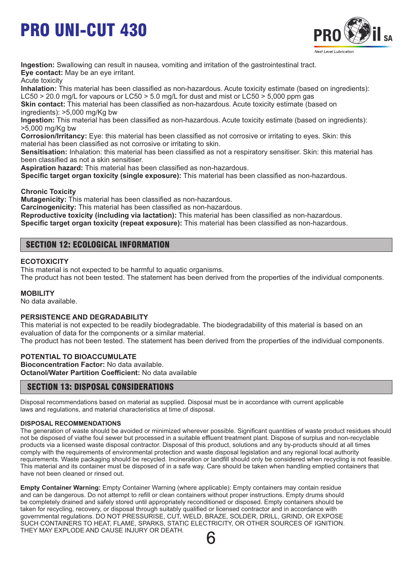

**Ingestion:** Swallowing can result in nausea, vomiting and irritation of the gastrointestinal tract. **Eye contact:** May be an eye irritant.

Acute toxicity

**Inhalation:** This material has been classified as non-hazardous. Acute toxicity estimate (based on ingredients): LC50  $>$  20.0 mg/L for vapours or LC50  $>$  5.0 mg/L for dust and mist or LC50  $>$  5,000 ppm gas

**Skin contact:** This material has been classified as non-hazardous. Acute toxicity estimate (based on ingredients): >5,000 mg/Kg bw

**Ingestion:** This material has been classified as non-hazardous. Acute toxicity estimate (based on ingredients): >5,000 mg/Kg bw

**Corrosion/Irritancy:** Eye: this material has been classified as not corrosive or irritating to eyes. Skin: this material has been classified as not corrosive or irritating to skin.

**Sensitisation:** Inhalation: this material has been classified as not a respiratory sensitiser. Skin: this material has been classified as not a skin sensitiser.

**Aspiration hazard:** This material has been classified as non-hazardous.

**Specific target organ toxicity (single exposure):** This material has been classified as non-hazardous.

**Chronic Toxicity**

**Mutagenicity:** This material has been classified as non-hazardous.

**Carcinogenicity:** This material has been classified as non-hazardous.

**Reproductive toxicity (including via lactation):** This material has been classified as non-hazardous.

**Specific target organ toxicity (repeat exposure):** This material has been classified as non-hazardous.

## SECTION 12: ECOLOGICAL INFORMATION

#### **ECOTOXICITY**

This material is not expected to be harmful to aquatic organisms.

The product has not been tested. The statement has been derived from the properties of the individual components.

#### **MOBILITY**

No data available.

#### **PERSISTENCE AND DEGRADABILITY**

This material is not expected to be readily biodegradable. The biodegradability of this material is based on an evaluation of data for the components or a similar material.

The product has not been tested. The statement has been derived from the properties of the individual components.

#### **POTENTIAL TO BIOACCUMULATE**

**Bioconcentration Factor:** No data available. **Octanol/Water Partition Coefficient:** No data available

### SECTION 13: DISPOSAL CONSIDERATIONS

Disposal recommendations based on material as supplied. Disposal must be in accordance with current applicable laws and regulations, and material characteristics at time of disposal.

#### **DISPOSAL RECOMMENDATIONS**

The generation of waste should be avoided or minimized wherever possible. Significant quantities of waste product residues should not be disposed of viathe foul sewer but processed in a suitable effluent treatment plant. Dispose of surplus and non-recyclable products via a licensed waste disposal contractor. Disposal of this product, solutions and any by-products should at all times comply with the requirements of environmental protection and waste disposal legislation and any regional local authority requirements. Waste packaging should be recycled. Incineration or landfill should only be considered when recycling is not feasible. This material and its container must be disposed of in a safe way. Care should be taken when handling emptied containers that have not been cleaned or rinsed out.

**Empty Container Warning:** Empty Container Warning (where applicable): Empty containers may contain residue and can be dangerous. Do not attempt to refill or clean containers without proper instructions. Empty drums should be completely drained and safely stored until appropriately reconditioned or disposed. Empty containers should be taken for recycling, recovery, or disposal through suitably qualified or licensed contractor and in accordance with governmental regulations. DO NOT PRESSURISE, CUT, WELD, BRAZE, SOLDER, DRILL, GRIND, OR EXPOSE SUCH CONTAINERS TO HEAT, FLAME, SPARKS, STATIC ELECTRICITY, OR OTHER SOURCES OF IGNITION. THEY MAY EXPLODE AND CAUSE INJURY OR DEATH.